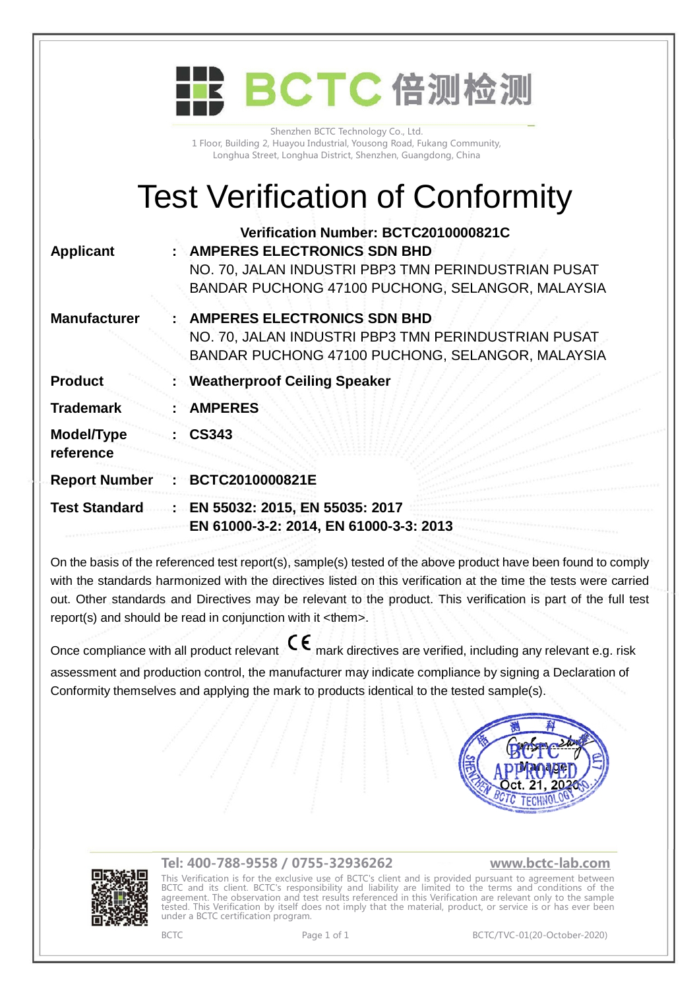|                         | BCTC 倍测检测                                                                                                                                                                             |
|-------------------------|---------------------------------------------------------------------------------------------------------------------------------------------------------------------------------------|
|                         | Shenzhen BCTC Technology Co., Ltd.<br>1 Floor, Building 2, Huayou Industrial, Yousong Road, Fukang Community,<br>Longhua Street, Longhua District, Shenzhen, Guangdong, China         |
|                         | <b>Test Verification of Conformity</b>                                                                                                                                                |
| <b>Applicant</b>        | Verification Number: BCTC2010000821C<br><b>AMPERES ELECTRONICS SDN BHD</b><br>NO. 70, JALAN INDUSTRI PBP3 TMN PERINDUSTRIAN PUSAT<br>BANDAR PUCHONG 47100 PUCHONG, SELANGOR, MALAYSIA |
| <b>Manufacturer</b>     | <b>AMPERES ELECTRONICS SDN BHD</b><br>NO. 70, JALAN INDUSTRI PBP3 TMN PERINDUSTRIAN PUSAT<br>BANDAR PUCHONG 47100 PUCHONG, SELANGOR, MALAYSIA                                         |
| <b>Product</b>          | <b>Weatherproof Ceiling Speaker</b>                                                                                                                                                   |
| <b>Trademark</b>        | <b>AMPERES</b>                                                                                                                                                                        |
| Model/Type<br>reference | <b>CS343</b>                                                                                                                                                                          |
| <b>Report Number</b>    | BCTC2010000821E                                                                                                                                                                       |
| <b>Test Standard</b>    | EN 55032: 2015, EN 55035: 2017<br>EN 61000-3-2: 2014, EN 61000-3-3: 2013                                                                                                              |
|                         |                                                                                                                                                                                       |

On the basis of the referenced test report(s), sample(s) tested of the above product have been found to comply with the standards harmonized with the directives listed on this verification at the time the tests were carried out. Other standards and Directives may be relevant to the product. This verification is part of the full test report(s) and should be read in conjunction with it <them>.

Once compliance with all product relevant  $\mathsf{C}\mathsf{\epsilon}$  mark directives are verified, including any relevant e.g. risk assessment and production control, the manufacturer may indicate compliance by signing a Declaration of Conformity themselves and applying the mark to products identical to the tested sample(s).





## **Tel: 400-788-9558 / 0755-32936262 [www.bctc-lab.com](http://www.bctc-lab.com)**

This Verification is for the exclusive use of BCTC's client and is provided pursuant to agreement between BCTC and its client. BCTC's responsibility and liability are limited to the terms and conditions of the agreement. The observation and test results referenced in this Verification are relevant only to the sample tested. This Verification by itself does not imply that the material, product, or service is or has ever been under a BCTC certification program.